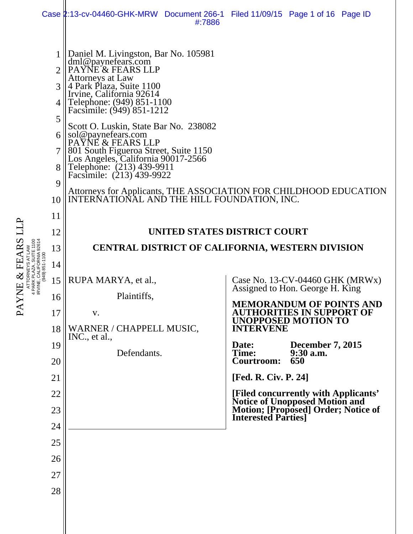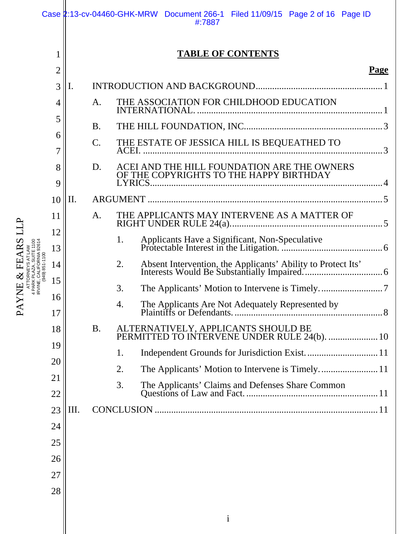|                                                                                                |          |                          |           | Case 2:13-cv-04460-GHK-MRW Document 266-1 Filed 11/09/15 Page 2 of 16 Page ID<br>#:7887 |  |  |  |
|------------------------------------------------------------------------------------------------|----------|--------------------------|-----------|-----------------------------------------------------------------------------------------|--|--|--|
|                                                                                                |          | <b>TABLE OF CONTENTS</b> |           |                                                                                         |  |  |  |
|                                                                                                | 2        |                          |           | Page                                                                                    |  |  |  |
|                                                                                                | 3        | I.                       |           |                                                                                         |  |  |  |
|                                                                                                | 4        |                          | A.        | THE ASSOCIATION FOR CHILDHOOD EDUCATION                                                 |  |  |  |
|                                                                                                | 5        |                          | <b>B.</b> |                                                                                         |  |  |  |
|                                                                                                | 6<br>7   |                          | C.        | THE ESTATE OF JESSICA HILL IS BEQUEATHED TO<br>ACEI. 3                                  |  |  |  |
|                                                                                                | 8<br>9   |                          | D.        | ACEI AND THE HILL FOUNDATION ARE THE OWNERS OF THE COPYRIGHTS TO THE HAPPY BIRTHDAY     |  |  |  |
|                                                                                                | 10       | II.                      |           |                                                                                         |  |  |  |
|                                                                                                | 11       |                          | A.        | THE APPLICANTS MAY INTERVENE AS A MATTER OF                                             |  |  |  |
|                                                                                                | 12<br>13 |                          |           | 1.                                                                                      |  |  |  |
| د -<br>- بحر جان المر<br>- بحر جان الحرار 2011 PORNIA 32614<br>- (949) 951-1100<br>- ب<br>FEAR | 14       |                          |           | 2.                                                                                      |  |  |  |
| RVINE,<br>HE                                                                                   | 15       |                          |           | 3.                                                                                      |  |  |  |
| $\mathsf{P}\mathsf{A}$                                                                         | 16<br>17 |                          |           | 4.                                                                                      |  |  |  |
|                                                                                                | 18       |                          | <b>B.</b> | ALTERNATIVELY, APPLICANTS SHOULD BE<br>PERMITTED TO INTERVENE UNDER RULE 24(b).  10     |  |  |  |
|                                                                                                | 19       |                          |           | 1.                                                                                      |  |  |  |
|                                                                                                | 20       |                          |           | The Applicants' Motion to Intervene is Timely 11<br>2.                                  |  |  |  |
|                                                                                                | 21<br>22 |                          |           | 3.                                                                                      |  |  |  |
|                                                                                                | 23       | Ш.                       |           |                                                                                         |  |  |  |
|                                                                                                | 24       |                          |           |                                                                                         |  |  |  |
|                                                                                                | 25       |                          |           |                                                                                         |  |  |  |
|                                                                                                | 26       |                          |           |                                                                                         |  |  |  |
|                                                                                                | 27       |                          |           |                                                                                         |  |  |  |
|                                                                                                | 28       |                          |           |                                                                                         |  |  |  |
|                                                                                                |          |                          |           |                                                                                         |  |  |  |
|                                                                                                |          |                          |           | $\mathbf{i}$                                                                            |  |  |  |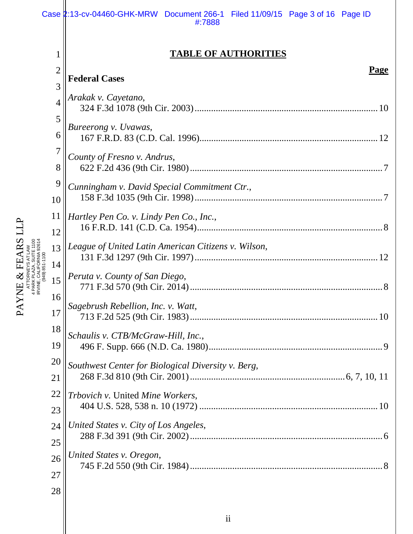|                                            |                                  | Case 2:13-cv-04460-GHK-MRW Document 266-1 Filed 11/09/15 Page 3 of 16 Page ID<br>#:7888 |
|--------------------------------------------|----------------------------------|-----------------------------------------------------------------------------------------|
|                                            | 1                                | <b>TABLE OF AUTHORITIES</b>                                                             |
|                                            | $\overline{2}$<br>$\overline{3}$ | Page<br><b>Federal Cases</b>                                                            |
|                                            | $\overline{4}$                   | Arakak v. Cayetano,                                                                     |
| IRVINE, CALIFORNIA 92614<br>(949) 851-1100 | 5                                | Bureerong v. Uvawas,                                                                    |
|                                            | 6                                |                                                                                         |
|                                            | 7<br>8                           | County of Fresno v. Andrus,                                                             |
|                                            | 9<br>10                          | Cunningham v. David Special Commitment Ctr.,                                            |
|                                            | 11<br>12                         | Hartley Pen Co. v. Lindy Pen Co., Inc.,                                                 |
|                                            | 13                               | League of United Latin American Citizens v. Wilson,                                     |
|                                            | 14<br>15                         | Peruta v. County of San Diego,                                                          |
|                                            | 16<br>17                         | Sagebrush Rebellion, Inc. v. Watt,                                                      |
|                                            | 18<br>19                         | Schaulis v. CTB/McGraw-Hill, Inc.,                                                      |
|                                            | 20<br>21                         | Southwest Center for Biological Diversity v. Berg,                                      |
|                                            | 22<br>23                         | Trbovich v. United Mine Workers,                                                        |
|                                            | 24<br>25                         | United States v. City of Los Angeles,                                                   |
|                                            | 26<br>27                         | United States v. Oregon,                                                                |
|                                            | 28                               |                                                                                         |

PAYNE & FEARS LLP ATTORNEYS AT LAW PAYNE & FEARS LLP PARK PLAZA, SUITE 1100 IRVINE, CALIFORNIA 92614

║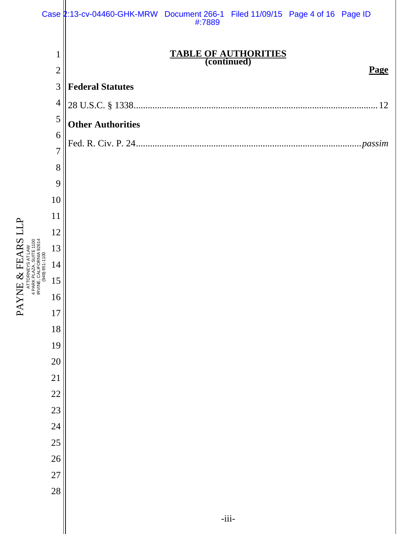|           |                                | Case 2:13-cv-04460-GHK-MRW Document 266-1 Filed 11/09/15 Page 4 of 16 Page ID<br>#:7889 |
|-----------|--------------------------------|-----------------------------------------------------------------------------------------|
|           | $\mathbf{1}$<br>$\overline{2}$ | <b>TABLE OF AUTHORITIES</b><br>(continued)<br>Page                                      |
|           | 3                              | <b>Federal Statutes</b>                                                                 |
|           | $\overline{4}$                 |                                                                                         |
|           | 5                              | <b>Other Authorities</b>                                                                |
|           | 6                              |                                                                                         |
|           | $\overline{7}$                 |                                                                                         |
|           | 8                              |                                                                                         |
|           | 9                              |                                                                                         |
|           | 10<br>11                       |                                                                                         |
|           | 12                             |                                                                                         |
| FEARS LLP | NIA 92614<br>13                |                                                                                         |
|           | 949) 851-1100<br>14            |                                                                                         |
| $\infty$  | इ<br>15<br><b>IRVINE</b>       |                                                                                         |
| YNE       | 16                             |                                                                                         |
| PA        | $17\,$                         |                                                                                         |
|           | 18                             |                                                                                         |
|           | 19                             |                                                                                         |
|           | $20\,$                         |                                                                                         |
|           | 21                             |                                                                                         |
|           | $22\,$<br>23                   |                                                                                         |
|           | 24                             |                                                                                         |
|           | 25                             |                                                                                         |
|           | $26\,$                         |                                                                                         |
|           | 27                             |                                                                                         |
|           | 28                             |                                                                                         |
|           |                                | $-iii-$                                                                                 |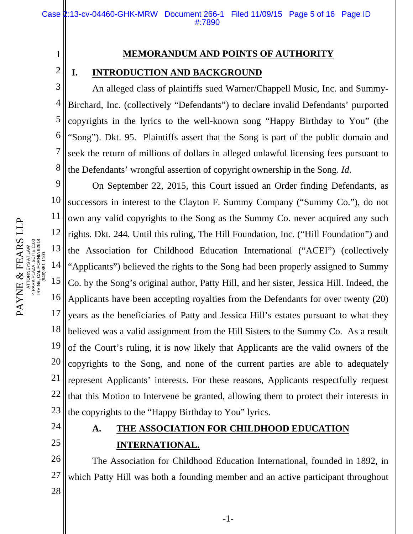#### **MEMORANDUM AND POINTS OF AUTHORITY**

#### **I. INTRODUCTION AND BACKGROUND**

3 4 5 6 7 8 An alleged class of plaintiffs sued Warner/Chappell Music, Inc. and Summy-Birchard, Inc. (collectively "Defendants") to declare invalid Defendants' purported copyrights in the lyrics to the well-known song "Happy Birthday to You" (the "Song"). Dkt. 95. Plaintiffs assert that the Song is part of the public domain and seek the return of millions of dollars in alleged unlawful licensing fees pursuant to the Defendants' wrongful assertion of copyright ownership in the Song. *Id*.

9 10 11 12 13 14 15 16 17 18 19 20 21 22 23 On September 22, 2015, this Court issued an Order finding Defendants, as successors in interest to the Clayton F. Summy Company ("Summy Co."), do not own any valid copyrights to the Song as the Summy Co. never acquired any such rights. Dkt. 244. Until this ruling, The Hill Foundation, Inc. ("Hill Foundation") and the Association for Childhood Education International ("ACEI") (collectively "Applicants") believed the rights to the Song had been properly assigned to Summy Co. by the Song's original author, Patty Hill, and her sister, Jessica Hill. Indeed, the Applicants have been accepting royalties from the Defendants for over twenty (20) years as the beneficiaries of Patty and Jessica Hill's estates pursuant to what they believed was a valid assignment from the Hill Sisters to the Summy Co. As a result of the Court's ruling, it is now likely that Applicants are the valid owners of the copyrights to the Song, and none of the current parties are able to adequately represent Applicants' interests. For these reasons, Applicants respectfully request that this Motion to Intervene be granted, allowing them to protect their interests in the copyrights to the "Happy Birthday to You" lyrics.

- 24
- 25

# **A. THE ASSOCIATION FOR CHILDHOOD EDUCATION INTERNATIONAL.**

26 27 28 The Association for Childhood Education International, founded in 1892, in which Patty Hill was both a founding member and an active participant throughout

PAYNE & FEARS LLP PAYNE & FEARS LLP ATTORNEYS AT LAW<br>4 PARK PLAZA, SUITE 1100<br>IRVINE, CALIFORNIA 92814<br>(949) 851-1100 PARK PLAZA, SUITE 1100 IRVINE, CALIFORNIA 92614 ATTORNEYS AT LAW (949) 851-1100 1

2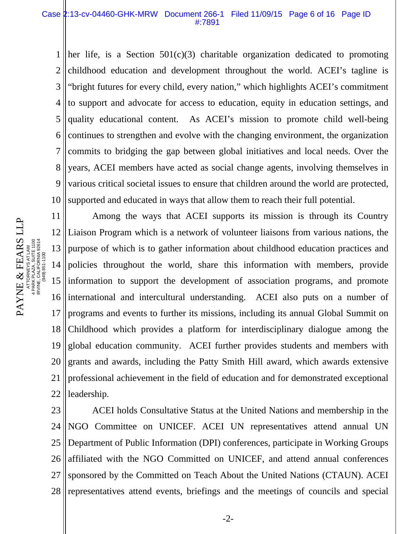#### Case 2:13-cv-04460-GHK-MRW Document 266-1 Filed 11/09/15 Page 6 of 16 Page ID #:7891

1 2 3 4 5 6 7 8 9 10 her life, is a Section  $501(c)(3)$  charitable organization dedicated to promoting childhood education and development throughout the world. ACEI's tagline is "bright futures for every child, every nation," which highlights ACEI's commitment to support and advocate for access to education, equity in education settings, and quality educational content. As ACEI's mission to promote child well-being continues to strengthen and evolve with the changing environment, the organization commits to bridging the gap between global initiatives and local needs. Over the years, ACEI members have acted as social change agents, involving themselves in various critical societal issues to ensure that children around the world are protected, supported and educated in ways that allow them to reach their full potential.

11 12 13 14 15 16 17 18 19 20 21 22 Among the ways that ACEI supports its mission is through its Country Liaison Program which is a network of volunteer liaisons from various nations, the purpose of which is to gather information about childhood education practices and policies throughout the world, share this information with members, provide information to support the development of association programs, and promote international and intercultural understanding. ACEI also puts on a number of programs and events to further its missions, including its annual Global Summit on Childhood which provides a platform for interdisciplinary dialogue among the global education community. ACEI further provides students and members with grants and awards, including the Patty Smith Hill award, which awards extensive professional achievement in the field of education and for demonstrated exceptional leadership.

23 24 25 26 27 28 ACEI holds Consultative Status at the United Nations and membership in the NGO Committee on UNICEF. ACEI UN representatives attend annual UN Department of Public Information (DPI) conferences, participate in Working Groups affiliated with the NGO Committed on UNICEF, and attend annual conferences sponsored by the Committed on Teach About the United Nations (CTAUN). ACEI representatives attend events, briefings and the meetings of councils and special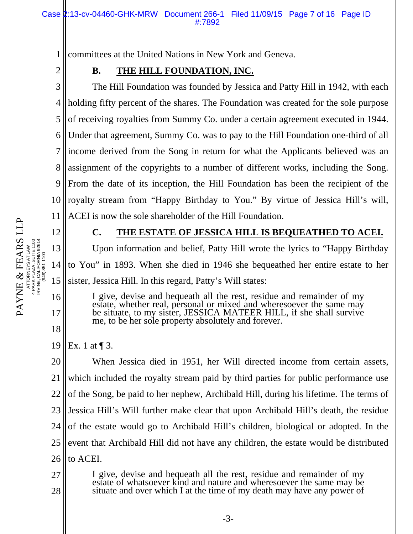1 committees at the United Nations in New York and Geneva.

2

# **B. THE HILL FOUNDATION, INC.**

3 4 5 6 7 8 9 10 11 The Hill Foundation was founded by Jessica and Patty Hill in 1942, with each holding fifty percent of the shares. The Foundation was created for the sole purpose of receiving royalties from Summy Co. under a certain agreement executed in 1944. Under that agreement, Summy Co. was to pay to the Hill Foundation one-third of all income derived from the Song in return for what the Applicants believed was an assignment of the copyrights to a number of different works, including the Song. From the date of its inception, the Hill Foundation has been the recipient of the royalty stream from "Happy Birthday to You." By virtue of Jessica Hill's will, ACEI is now the sole shareholder of the Hill Foundation.

PAYNE & FEARS LLP ATTORNEYS AT LAW PAYNE & FEARS LLP<br>ATTORNEYSATLAW<br>4 PARK PLANS SUILD<br>IRVINE CALIFO, SUILD<br>IRVINE CALIFO, SUILD 2004<br>IRVINE CALIFO, SUILD 2004 PARK PLAZA, SUITE 1100 IRVINE, CALIFORNIA 92614 (949) 851-1100

12

13

14

15

16

17

18

## **C. THE ESTATE OF JESSICA HILL IS BEQUEATHED TO ACEI.**

Upon information and belief, Patty Hill wrote the lyrics to "Happy Birthday to You" in 1893. When she died in 1946 she bequeathed her entire estate to her sister, Jessica Hill. In this regard, Patty's Will states:

I give, devise and bequeath all the rest, residue and remainder of my estate, whether real, personal or mixed and wheresoever the same may be situate, to my sister, JESSICA MATEER HILL, if she shall survive me, to be her sole property absolutely and forever.

19 Ex. 1 at  $\P$  3.

20 21 22 23 24 25 26 When Jessica died in 1951, her Will directed income from certain assets, which included the royalty stream paid by third parties for public performance use of the Song, be paid to her nephew, Archibald Hill, during his lifetime. The terms of Jessica Hill's Will further make clear that upon Archibald Hill's death, the residue of the estate would go to Archibald Hill's children, biological or adopted. In the event that Archibald Hill did not have any children, the estate would be distributed to ACEI.

27 28 I give, devise and bequeath all the rest, residue and remainder of my estate of whatsoever kind and nature and wheresoever the same may be situate and over which I at the time of my death may have any power of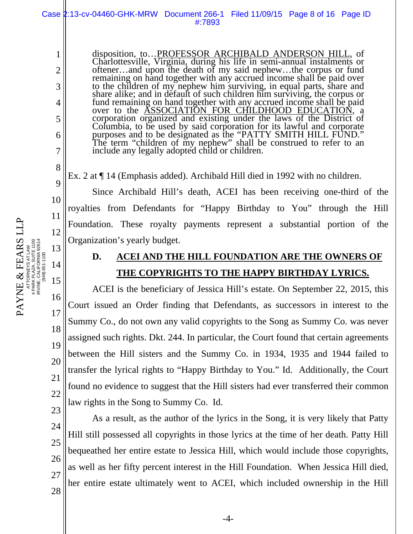PAYNE & FEARS LLP ATTORNEYS AT LAW PAYNE & FEARS LLP<br>ATTORNEYSATLAW<br>4 PARK PLAZA, SUITE 1100<br>4 PARK PLAZA, SUITE 1100 PARK PLAZA, SUITE 1100 IRVINE, CALIFORNIA 92614

> 25 26 27

28

-4-

bequeathed her entire estate to Jessica Hill, which would include those copyrights,

as well as her fifty percent interest in the Hill Foundation. When Jessica Hill died,

her entire estate ultimately went to ACEI, which included ownership in the Hill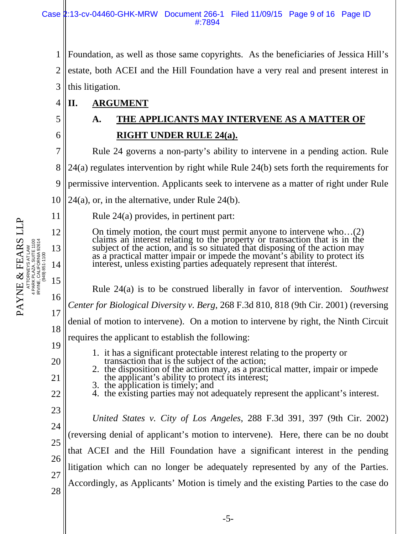1 2 3 Foundation, as well as those same copyrights. As the beneficiaries of Jessica Hill's estate, both ACEI and the Hill Foundation have a very real and present interest in this litigation.

4 **II. ARGUMENT** 

5

6

11

12

13

14

15

16

17

18

19

20

21

22

23

24

25

26

27

28

**A. THE APPLICANTS MAY INTERVENE AS A MATTER OF RIGHT UNDER RULE 24(a).** 

7 8 9 10 Rule 24 governs a non-party's ability to intervene in a pending action. Rule 24(a) regulates intervention by right while Rule 24(b) sets forth the requirements for permissive intervention. Applicants seek to intervene as a matter of right under Rule  $24(a)$ , or, in the alternative, under Rule  $24(b)$ .

Rule 24(a) provides, in pertinent part:

On timely motion, the court must permit anyone to intervene who...(2) claims an interest relating to the property or transaction that is in the subject of the action, and is so situated that disposing of the action may as

Rule 24(a) is to be construed liberally in favor of intervention. *Southwest Center for Biological Diversity v. Berg*, 268 F.3d 810, 818 (9th Cir. 2001) (reversing denial of motion to intervene). On a motion to intervene by right, the Ninth Circuit requires the applicant to establish the following:

- 
- 1. it has a significant protectable interest relating to the property or<br>transaction that is the subject of the action;<br>2. the disposition of the action may, as a practical matter, impair or impede<br>the applicant's ability
- 
- 

*United States v. City of Los Angeles*, 288 F.3d 391, 397 (9th Cir. 2002) (reversing denial of applicant's motion to intervene). Here, there can be no doubt that ACEI and the Hill Foundation have a significant interest in the pending litigation which can no longer be adequately represented by any of the Parties. Accordingly, as Applicants' Motion is timely and the existing Parties to the case do

-5-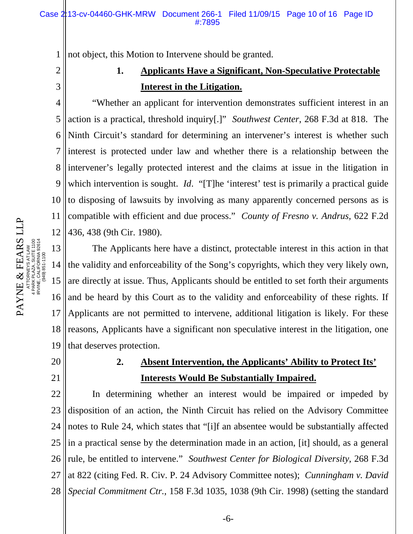1 not object, this Motion to Intervene should be granted.

# 2 3

# **1. Applicants Have a Significant, Non-Speculative Protectable Interest in the Litigation.**

4 5 6 7 8 9 10 11 12 "Whether an applicant for intervention demonstrates sufficient interest in an action is a practical, threshold inquiry[.]" *Southwest Center*, 268 F.3d at 818. The Ninth Circuit's standard for determining an intervener's interest is whether such interest is protected under law and whether there is a relationship between the intervener's legally protected interest and the claims at issue in the litigation in which intervention is sought. *Id.* "[T]he 'interest' test is primarily a practical guide to disposing of lawsuits by involving as many apparently concerned persons as is compatible with efficient and due process." *County of Fresno v. Andrus*, 622 F.2d 436, 438 (9th Cir. 1980).

13 14 15 16 17 18 19 The Applicants here have a distinct, protectable interest in this action in that the validity and enforceability of the Song's copyrights, which they very likely own, are directly at issue. Thus, Applicants should be entitled to set forth their arguments and be heard by this Court as to the validity and enforceability of these rights. If Applicants are not permitted to intervene, additional litigation is likely. For these reasons, Applicants have a significant non speculative interest in the litigation, one that deserves protection.

20

21

# **2. Absent Intervention, the Applicants' Ability to Protect Its' Interests Would Be Substantially Impaired.**

22 23 24 25 26 27 28 In determining whether an interest would be impaired or impeded by disposition of an action, the Ninth Circuit has relied on the Advisory Committee notes to Rule 24, which states that "[i]f an absentee would be substantially affected in a practical sense by the determination made in an action, [it] should, as a general rule, be entitled to intervene." *Southwest Center for Biological Diversity*, 268 F.3d at 822 (citing Fed. R. Civ. P. 24 Advisory Committee notes); *Cunningham v. David Special Commitment Ctr.*, 158 F.3d 1035, 1038 (9th Cir. 1998) (setting the standard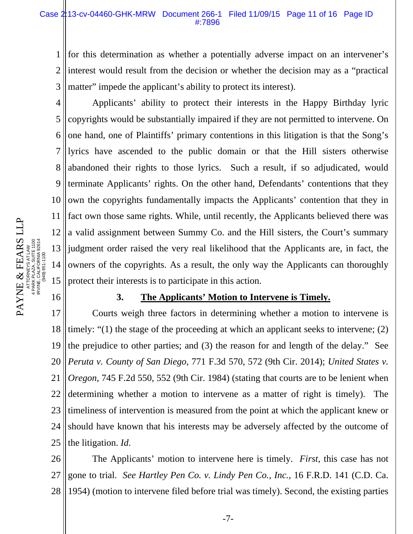#### Case 2:13-cv-04460-GHK-MRW Document 266-1 Filed 11/09/15 Page 11 of 16 Page ID #:7896

1 2 3 for this determination as whether a potentially adverse impact on an intervener's interest would result from the decision or whether the decision may as a "practical matter" impede the applicant's ability to protect its interest).

4 5 6 7 8 9 10 11 12 13 14 15 Applicants' ability to protect their interests in the Happy Birthday lyric copyrights would be substantially impaired if they are not permitted to intervene. On one hand, one of Plaintiffs' primary contentions in this litigation is that the Song's lyrics have ascended to the public domain or that the Hill sisters otherwise abandoned their rights to those lyrics. Such a result, if so adjudicated, would terminate Applicants' rights. On the other hand, Defendants' contentions that they own the copyrights fundamentally impacts the Applicants' contention that they in fact own those same rights. While, until recently, the Applicants believed there was a valid assignment between Summy Co. and the Hill sisters, the Court's summary judgment order raised the very real likelihood that the Applicants are, in fact, the owners of the copyrights. As a result, the only way the Applicants can thoroughly protect their interests is to participate in this action.

#### 16

#### **3. The Applicants' Motion to Intervene is Timely.**

17 18 19 20 21 22 23 24 25 Courts weigh three factors in determining whether a motion to intervene is timely: "(1) the stage of the proceeding at which an applicant seeks to intervene; (2) the prejudice to other parties; and (3) the reason for and length of the delay." See *Peruta v. County of San Diego*, 771 F.3d 570, 572 (9th Cir. 2014); *United States v. Oregon*, 745 F.2d 550, 552 (9th Cir. 1984) (stating that courts are to be lenient when determining whether a motion to intervene as a matter of right is timely). The timeliness of intervention is measured from the point at which the applicant knew or should have known that his interests may be adversely affected by the outcome of the litigation. *Id*.

26 27 28 The Applicants' motion to intervene here is timely. *First*, this case has not gone to trial. *See Hartley Pen Co. v. Lindy Pen Co., Inc.*, 16 F.R.D. 141 (C.D. Ca. 1954) (motion to intervene filed before trial was timely). Second, the existing parties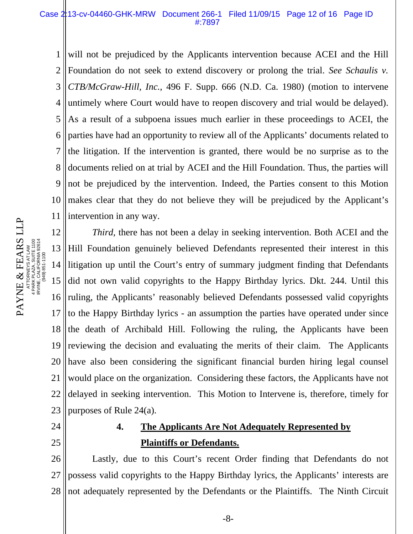#### Case 2:13-cv-04460-GHK-MRW Document 266-1 Filed 11/09/15 Page 12 of 16 Page ID #:7897

1 2 3 4 5 6 7 8 9 10 11 will not be prejudiced by the Applicants intervention because ACEI and the Hill Foundation do not seek to extend discovery or prolong the trial. *See Schaulis v. CTB/McGraw-Hill, Inc.*, 496 F. Supp. 666 (N.D. Ca. 1980) (motion to intervene untimely where Court would have to reopen discovery and trial would be delayed). As a result of a subpoena issues much earlier in these proceedings to ACEI, the parties have had an opportunity to review all of the Applicants' documents related to the litigation. If the intervention is granted, there would be no surprise as to the documents relied on at trial by ACEI and the Hill Foundation. Thus, the parties will not be prejudiced by the intervention. Indeed, the Parties consent to this Motion makes clear that they do not believe they will be prejudiced by the Applicant's intervention in any way.

12 13 14 15 16 17 18 19 20 21 22 23 *Third*, there has not been a delay in seeking intervention. Both ACEI and the Hill Foundation genuinely believed Defendants represented their interest in this litigation up until the Court's entry of summary judgment finding that Defendants did not own valid copyrights to the Happy Birthday lyrics. Dkt. 244. Until this ruling, the Applicants' reasonably believed Defendants possessed valid copyrights to the Happy Birthday lyrics - an assumption the parties have operated under since the death of Archibald Hill. Following the ruling, the Applicants have been reviewing the decision and evaluating the merits of their claim. The Applicants have also been considering the significant financial burden hiring legal counsel would place on the organization. Considering these factors, the Applicants have not delayed in seeking intervention. This Motion to Intervene is, therefore, timely for purposes of Rule 24(a).

- 24
- 25

# **4. The Applicants Are Not Adequately Represented by Plaintiffs or Defendants.**

26 27 28 Lastly, due to this Court's recent Order finding that Defendants do not possess valid copyrights to the Happy Birthday lyrics, the Applicants' interests are not adequately represented by the Defendants or the Plaintiffs. The Ninth Circuit

-8-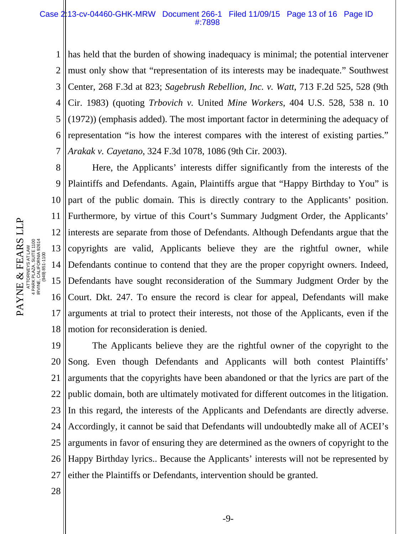1 2 3 4 5 6 7 has held that the burden of showing inadequacy is minimal; the potential intervener must only show that "representation of its interests may be inadequate." Southwest Center, 268 F.3d at 823; *Sagebrush Rebellion, Inc. v. Watt*, 713 F.2d 525, 528 (9th Cir. 1983) (quoting *Trbovich v.* United *Mine Workers*, 404 U.S. 528, 538 n. 10 (1972)) (emphasis added). The most important factor in determining the adequacy of representation "is how the interest compares with the interest of existing parties." *Arakak v. Cayetano*, 324 F.3d 1078, 1086 (9th Cir. 2003).

8 9 10 11 12 13 14 15 16 17 18 Here, the Applicants' interests differ significantly from the interests of the Plaintiffs and Defendants. Again, Plaintiffs argue that "Happy Birthday to You" is part of the public domain. This is directly contrary to the Applicants' position. Furthermore, by virtue of this Court's Summary Judgment Order, the Applicants' interests are separate from those of Defendants. Although Defendants argue that the copyrights are valid, Applicants believe they are the rightful owner, while Defendants continue to contend that they are the proper copyright owners. Indeed, Defendants have sought reconsideration of the Summary Judgment Order by the Court. Dkt. 247. To ensure the record is clear for appeal, Defendants will make arguments at trial to protect their interests, not those of the Applicants, even if the motion for reconsideration is denied.

19 20 21 22 23 24 25 26 27 The Applicants believe they are the rightful owner of the copyright to the Song. Even though Defendants and Applicants will both contest Plaintiffs' arguments that the copyrights have been abandoned or that the lyrics are part of the public domain, both are ultimately motivated for different outcomes in the litigation. In this regard, the interests of the Applicants and Defendants are directly adverse. Accordingly, it cannot be said that Defendants will undoubtedly make all of ACEI's arguments in favor of ensuring they are determined as the owners of copyright to the Happy Birthday lyrics.. Because the Applicants' interests will not be represented by either the Plaintiffs or Defendants, intervention should be granted.

28

PAYNE & FEARS LLP PAYNE & FEARS LLP CORNEYS AT LAW<br>< PLAZA, SUITE 1100<br>:, CALIFORNIA 92614<br>(949) 851-1100 PARK PLAZA, SUITE 1100 IRVINE, CALIFORNIA 92614 ATTORNEYS AT LAW (949) 851-1100 4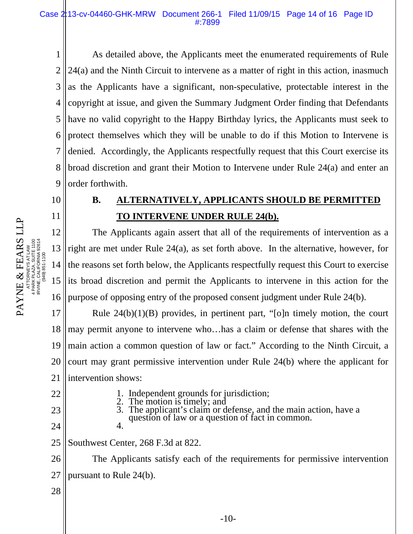1 2 3 4 5 6 7 8 9 As detailed above, the Applicants meet the enumerated requirements of Rule 24(a) and the Ninth Circuit to intervene as a matter of right in this action, inasmuch as the Applicants have a significant, non-speculative, protectable interest in the copyright at issue, and given the Summary Judgment Order finding that Defendants have no valid copyright to the Happy Birthday lyrics, the Applicants must seek to protect themselves which they will be unable to do if this Motion to Intervene is denied. Accordingly, the Applicants respectfully request that this Court exercise its broad discretion and grant their Motion to Intervene under Rule 24(a) and enter an order forthwith.

# ATTORNEYS AT LAW PAYNE & FEARS LLP<br>ATTORNEYSATLAW<br>4 PARK PLANS SUILD<br>IRVINE CALIFO, SUILD<br>IRVINE CALIFO, SUILD 2004<br>IRVINE CALIFO, SUILD 2004 PARK PLAZA, SUITE 1100 IRVINE, CALIFORNIA 92614 (949) 851-1100

PAYNE & FEARS LLP

10

11

# **B. ALTERNATIVELY, APPLICANTS SHOULD BE PERMITTED TO INTERVENE UNDER RULE 24(b).**

12 13 14 15 16 The Applicants again assert that all of the requirements of intervention as a right are met under Rule 24(a), as set forth above. In the alternative, however, for the reasons set forth below, the Applicants respectfully request this Court to exercise its broad discretion and permit the Applicants to intervene in this action for the purpose of opposing entry of the proposed consent judgment under Rule 24(b).

17 18 19 20 21 Rule  $24(b)(1)(B)$  provides, in pertinent part, "[o]n timely motion, the court may permit anyone to intervene who…has a claim or defense that shares with the main action a common question of law or fact." According to the Ninth Circuit, a court may grant permissive intervention under Rule 24(b) where the applicant for intervention shows:

22

23

24

- -
	- 1. Independent grounds for jurisdiction;<br>2. The motion is timely; and<br>3. The applicant's claim or defense, and the main action, have a question of law or a question of fact in common.
- 25 Southwest Center, 268 F.3d at 822.

4.

26 27 The Applicants satisfy each of the requirements for permissive intervention pursuant to Rule 24(b).

28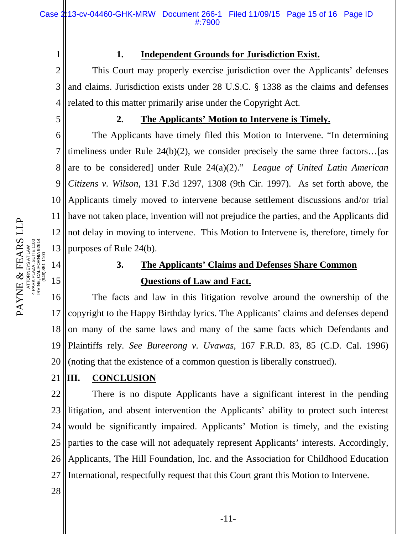1

### **1. Independent Grounds for Jurisdiction Exist.**

2 3 4 This Court may properly exercise jurisdiction over the Applicants' defenses and claims. Jurisdiction exists under 28 U.S.C. § 1338 as the claims and defenses related to this matter primarily arise under the Copyright Act.

5

### **2. The Applicants' Motion to Intervene is Timely.**

6 7 8 9 10 11 12 13 The Applicants have timely filed this Motion to Intervene. "In determining timeliness under Rule 24(b)(2), we consider precisely the same three factors…[as are to be considered] under Rule 24(a)(2)." *League of United Latin American Citizens v. Wilson*, 131 F.3d 1297, 1308 (9th Cir. 1997). As set forth above, the Applicants timely moved to intervene because settlement discussions and/or trial have not taken place, invention will not prejudice the parties, and the Applicants did not delay in moving to intervene. This Motion to Intervene is, therefore, timely for purposes of Rule 24(b).

# **3. The Applicants' Claims and Defenses Share Common Questions of Law and Fact.**

16 17 18 19 20 The facts and law in this litigation revolve around the ownership of the copyright to the Happy Birthday lyrics. The Applicants' claims and defenses depend on many of the same laws and many of the same facts which Defendants and Plaintiffs rely*. See Bureerong v. Uvawas*, 167 F.R.D. 83, 85 (C.D. Cal. 1996) (noting that the existence of a common question is liberally construed).

#### 21 **III. CONCLUSION**

22 23 24 25 26 27 There is no dispute Applicants have a significant interest in the pending litigation, and absent intervention the Applicants' ability to protect such interest would be significantly impaired. Applicants' Motion is timely, and the existing parties to the case will not adequately represent Applicants' interests. Accordingly, Applicants, The Hill Foundation, Inc. and the Association for Childhood Education International, respectfully request that this Court grant this Motion to Intervene.

28

PAYNE & FEARS LLP ATTORNEYS AT LAW PAYNE & FEARS LLP<br>ATTORNEYS AT LAW<br>APPRAIS AT LAW<br>IRVINE, CALIFORNIA 92614<br>IRVINE, CALIFORNIA 92614 PARK PLAZA, SUITE 1100 IRVINE, CALIFORNIA 92614 (949) 851-1100

14

15